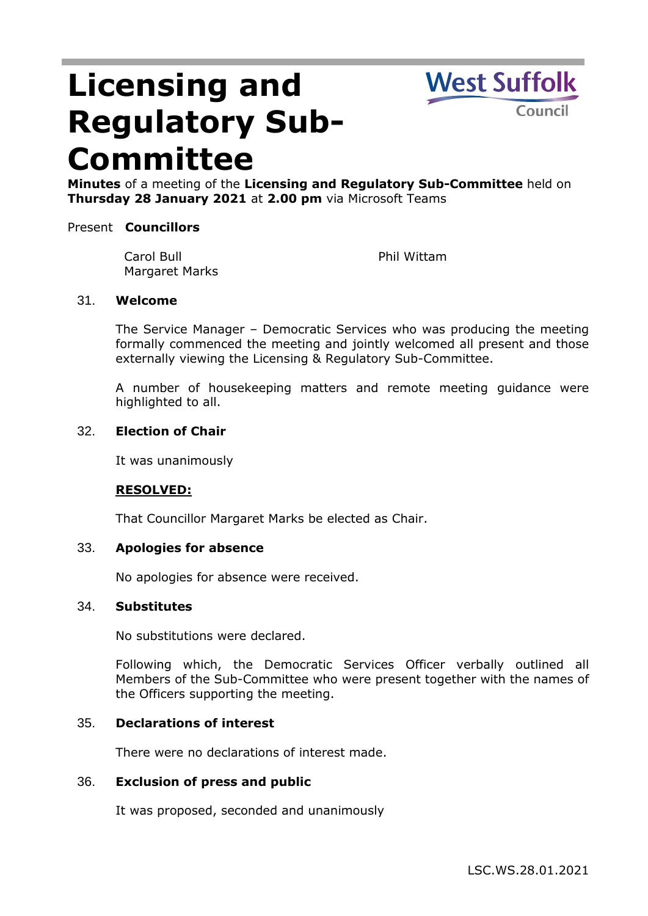# **Licensing and Regulatory Sub-Committee**



**Minutes** of a meeting of the **Licensing and Regulatory Sub-Committee** held on **Thursday 28 January 2021** at **2.00 pm** via Microsoft Teams

#### Present **Councillors**

Carol Bull Margaret Marks

Phil Wittam

#### 31. **Welcome**

The Service Manager – Democratic Services who was producing the meeting formally commenced the meeting and jointly welcomed all present and those externally viewing the Licensing & Regulatory Sub-Committee.

A number of housekeeping matters and remote meeting guidance were highlighted to all.

#### 32. **Election of Chair**

It was unanimously

# **RESOLVED:**

That Councillor Margaret Marks be elected as Chair.

#### 33. **Apologies for absence**

No apologies for absence were received.

#### 34. **Substitutes**

No substitutions were declared.

Following which, the Democratic Services Officer verbally outlined all Members of the Sub-Committee who were present together with the names of the Officers supporting the meeting.

#### 35. **Declarations of interest**

There were no declarations of interest made.

#### 36. **Exclusion of press and public**

It was proposed, seconded and unanimously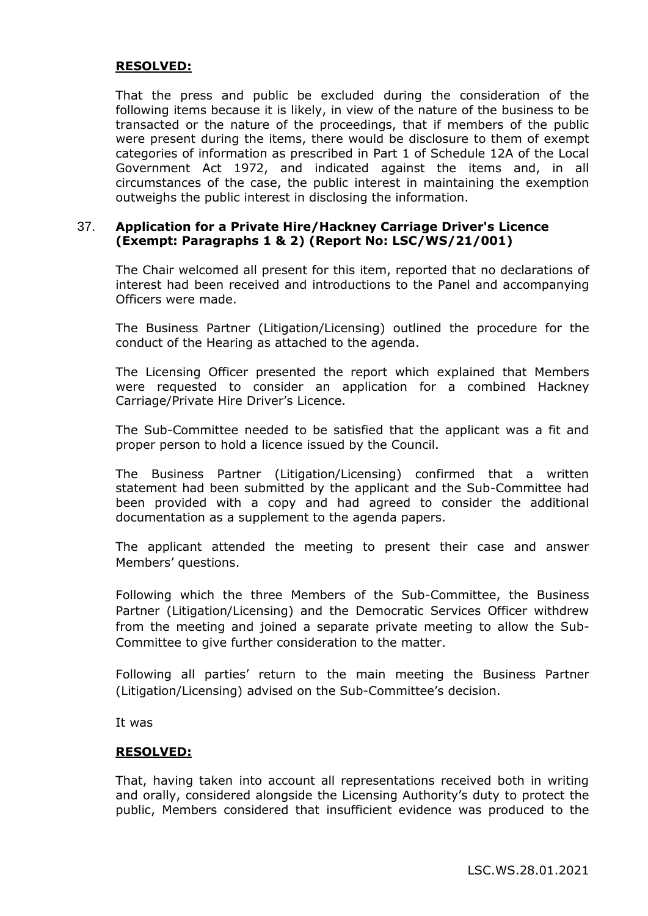#### **RESOLVED:**

That the press and public be excluded during the consideration of the following items because it is likely, in view of the nature of the business to be transacted or the nature of the proceedings, that if members of the public were present during the items, there would be disclosure to them of exempt categories of information as prescribed in Part 1 of Schedule 12A of the Local Government Act 1972, and indicated against the items and, in all circumstances of the case, the public interest in maintaining the exemption outweighs the public interest in disclosing the information.

#### 37. **Application for a Private Hire/Hackney Carriage Driver's Licence (Exempt: Paragraphs 1 & 2) (Report No: LSC/WS/21/001)**

The Chair welcomed all present for this item, reported that no declarations of interest had been received and introductions to the Panel and accompanying Officers were made.

The Business Partner (Litigation/Licensing) outlined the procedure for the conduct of the Hearing as attached to the agenda.

The Licensing Officer presented the report which explained that Members were requested to consider an application for a combined Hackney Carriage/Private Hire Driver's Licence.

The Sub-Committee needed to be satisfied that the applicant was a fit and proper person to hold a licence issued by the Council.

The Business Partner (Litigation/Licensing) confirmed that a written statement had been submitted by the applicant and the Sub-Committee had been provided with a copy and had agreed to consider the additional documentation as a supplement to the agenda papers.

The applicant attended the meeting to present their case and answer Members' questions.

Following which the three Members of the Sub-Committee, the Business Partner (Litigation/Licensing) and the Democratic Services Officer withdrew from the meeting and joined a separate private meeting to allow the Sub-Committee to give further consideration to the matter.

Following all parties' return to the main meeting the Business Partner (Litigation/Licensing) advised on the Sub-Committee's decision.

It was

#### **RESOLVED:**

That, having taken into account all representations received both in writing and orally, considered alongside the Licensing Authority's duty to protect the public, Members considered that insufficient evidence was produced to the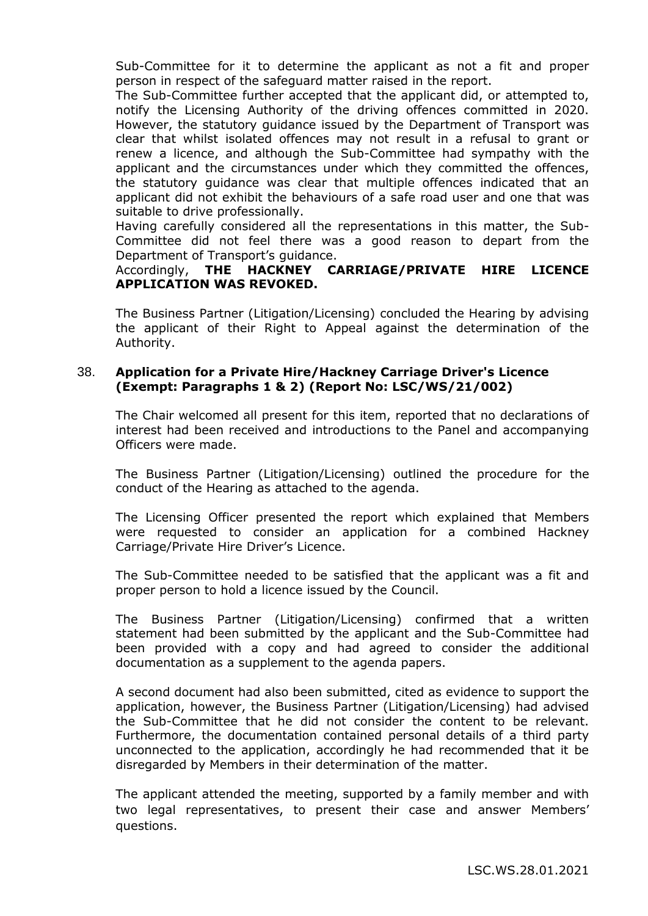Sub-Committee for it to determine the applicant as not a fit and proper person in respect of the safeguard matter raised in the report.

The Sub-Committee further accepted that the applicant did, or attempted to, notify the Licensing Authority of the driving offences committed in 2020. However, the statutory guidance issued by the Department of Transport was clear that whilst isolated offences may not result in a refusal to grant or renew a licence, and although the Sub-Committee had sympathy with the applicant and the circumstances under which they committed the offences, the statutory guidance was clear that multiple offences indicated that an applicant did not exhibit the behaviours of a safe road user and one that was suitable to drive professionally.

Having carefully considered all the representations in this matter, the Sub-Committee did not feel there was a good reason to depart from the Department of Transport's guidance.

### Accordingly, **THE HACKNEY CARRIAGE/PRIVATE HIRE LICENCE APPLICATION WAS REVOKED.**

The Business Partner (Litigation/Licensing) concluded the Hearing by advising the applicant of their Right to Appeal against the determination of the Authority.

#### 38. **Application for a Private Hire/Hackney Carriage Driver's Licence (Exempt: Paragraphs 1 & 2) (Report No: LSC/WS/21/002)**

The Chair welcomed all present for this item, reported that no declarations of interest had been received and introductions to the Panel and accompanying Officers were made.

The Business Partner (Litigation/Licensing) outlined the procedure for the conduct of the Hearing as attached to the agenda.

The Licensing Officer presented the report which explained that Members were requested to consider an application for a combined Hackney Carriage/Private Hire Driver's Licence.

The Sub-Committee needed to be satisfied that the applicant was a fit and proper person to hold a licence issued by the Council.

The Business Partner (Litigation/Licensing) confirmed that a written statement had been submitted by the applicant and the Sub-Committee had been provided with a copy and had agreed to consider the additional documentation as a supplement to the agenda papers.

A second document had also been submitted, cited as evidence to support the application, however, the Business Partner (Litigation/Licensing) had advised the Sub-Committee that he did not consider the content to be relevant. Furthermore, the documentation contained personal details of a third party unconnected to the application, accordingly he had recommended that it be disregarded by Members in their determination of the matter.

The applicant attended the meeting, supported by a family member and with two legal representatives, to present their case and answer Members' questions.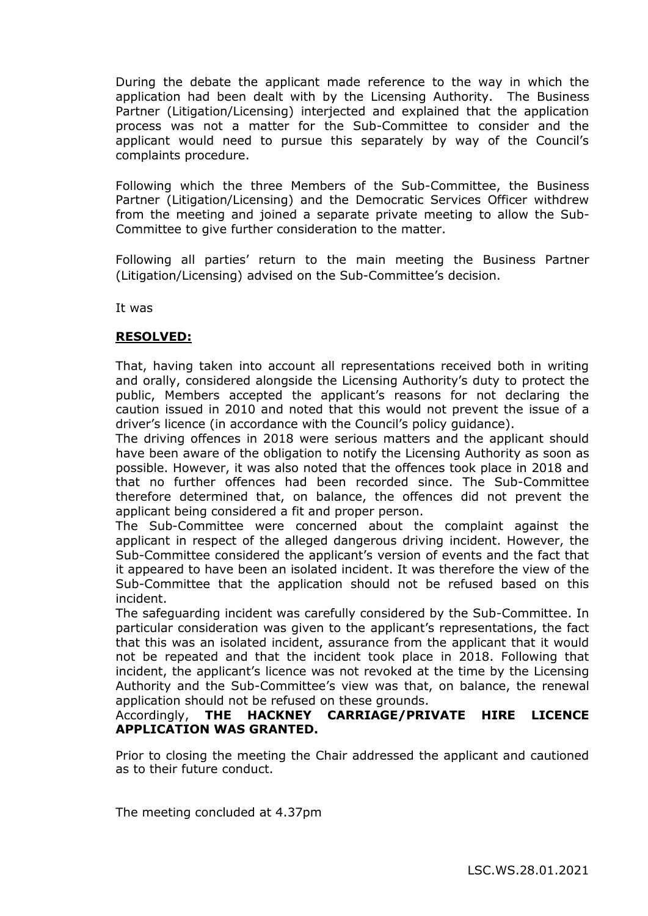During the debate the applicant made reference to the way in which the application had been dealt with by the Licensing Authority. The Business Partner (Litigation/Licensing) interjected and explained that the application process was not a matter for the Sub-Committee to consider and the applicant would need to pursue this separately by way of the Council's complaints procedure.

Following which the three Members of the Sub-Committee, the Business Partner (Litigation/Licensing) and the Democratic Services Officer withdrew from the meeting and joined a separate private meeting to allow the Sub-Committee to give further consideration to the matter.

Following all parties' return to the main meeting the Business Partner (Litigation/Licensing) advised on the Sub-Committee's decision.

It was

# **RESOLVED:**

That, having taken into account all representations received both in writing and orally, considered alongside the Licensing Authority's duty to protect the public, Members accepted the applicant's reasons for not declaring the caution issued in 2010 and noted that this would not prevent the issue of a driver's licence (in accordance with the Council's policy guidance).

The driving offences in 2018 were serious matters and the applicant should have been aware of the obligation to notify the Licensing Authority as soon as possible. However, it was also noted that the offences took place in 2018 and that no further offences had been recorded since. The Sub-Committee therefore determined that, on balance, the offences did not prevent the applicant being considered a fit and proper person.

The Sub-Committee were concerned about the complaint against the applicant in respect of the alleged dangerous driving incident. However, the Sub-Committee considered the applicant's version of events and the fact that it appeared to have been an isolated incident. It was therefore the view of the Sub-Committee that the application should not be refused based on this incident.

The safeguarding incident was carefully considered by the Sub-Committee. In particular consideration was given to the applicant's representations, the fact that this was an isolated incident, assurance from the applicant that it would not be repeated and that the incident took place in 2018. Following that incident, the applicant's licence was not revoked at the time by the Licensing Authority and the Sub-Committee's view was that, on balance, the renewal application should not be refused on these grounds.

# Accordingly, **THE HACKNEY CARRIAGE/PRIVATE HIRE LICENCE APPLICATION WAS GRANTED.**

Prior to closing the meeting the Chair addressed the applicant and cautioned as to their future conduct.

The meeting concluded at 4.37pm